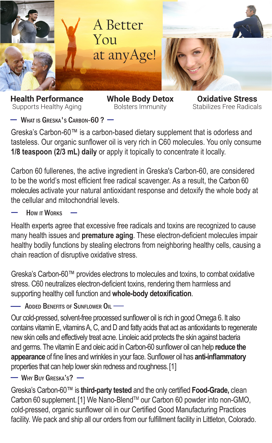

**Health Performance** Supports Healthy Aging

**Whole Body Detox** Bolsters Immunity

**Oxidative Stress** Stabilizes Free Radicals

WHAT IS GRESKA'S CARBON-60 ?  $-$ 

Greska's Carbon-60™ is a carbon-based dietary supplement that is odorless and tasteless. Our organic sunflower oil is very rich in C60 molecules. You only consume **1/8 teaspoon (2/3 mL) daily** or apply it topically to concentrate it locally.

Carbon 60 fullerenes, the active ingredient in Greska's Carbon-60, are considered to be the world's most efficient free radical scavenger. As a result, the Carbon 60 molecules activate your natural antioxidant response and detoxify the whole body at the cellular and mitochondrial levels.

How **IT WORKS** 

Health experts agree that excessive free radicals and toxins are recognized to cause many health issues and **premature aging**. These electron-deficient molecules impair healthy bodily functions by stealing electrons from neighboring healthy cells, causing a chain reaction of disruptive oxidative stress.

Greska's Carbon-60™ provides electrons to molecules and toxins, to combat oxidative stress. C60 neutralizes electron-deficient toxins, rendering them harmless and supporting healthy cell function and **whole-body detoxification**.

- Added Benefits of Sunflower  $\mathsf{O}\mathsf{u}$  -

Our cold-pressed, solvent-free processed sunflower oil is rich in good Omega 6. It also contains vitamin E, vitamins A, C, and D and fatty acids that act as antioxidants to regenerate new skin cells and effectively treat acne. Linoleic acid protects the skin against bacteria and germs. The vitamin E and oleic acid in Carbon-60 sunflower oil can help **reduce the appearance** of fine lines and wrinkles in your face. Sunflower oil has **anti-inflammatory** properties that can help lower skin redness and roughness.[1]

 $-$  Why Buy Greska's?  $-$ 

Greska's Carbon-60™ is **third-party tested** and the only certified **Food-Grade,** clean Carbon 60 supplement. [1] We Nano-Blend™ our Carbon 60 powder into non-GMO, cold-pressed, organic sunflower oil in our Certified Good Manufacturing Practices facility. We pack and ship all our orders from our fulfillment facility in Littleton, Colorado.